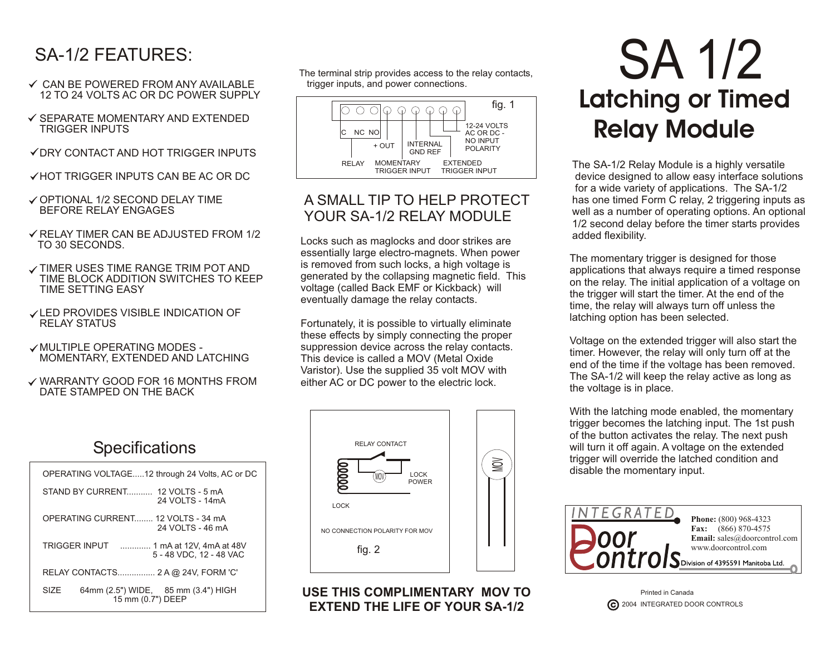### SA-1/2 FEATURES:

- **✓ CAN BE POWERED FROM ANY AVAILABLE** 12 TO 24 VOLTS AC OR DC POWER SUPPLY
- $\checkmark$  SEPARATE MOMENTARY AND EXTENDED TRIGGER INPUTS
- DRY CONTACT AND HOT TRIGGER INPUTS
- **√HOT TRIGGER INPUTS CAN BE AC OR DC**
- OPTIONAL 1/2 SECOND DELAY TIME BEFORE RELAY ENGAGES
- $\checkmark$  RELAY TIMER CAN BE ADJUSTED FROM 1/2 TO 30 SECONDS.
- **√ TIMER USES TIME RANGE TRIM POT AND** TIME BLOCK ADDITION SWITCHES TO KEEP TIME SETTING EASY
- **√LED PROVIDES VISIBLE INDICATION OF** RELAY STATUS
- MULTIPLE OPERATING MODES MOMENTARY, EXTENDED AND LATCHING
- WARRANTY GOOD FOR 16 MONTHS FROM DATE STAMPED ON THE BACK

#### **Specifications**

| STAND BY CURRENT 12 VOLTS - 5 mA<br>24 VOLTS - 14mA<br>OPERATING CURRENT 12 VOLTS - 34 mA<br>24 VOLTS - 46 mA<br>TRIGGER INPUT  1 mA at 12V, 4mA at 48V<br>5 - 48 VDC, 12 - 48 VAC<br>RELAY CONTACTS 2 A @ 24V, FORM 'C'<br>64mm (2.5") WIDE, 85 mm (3.4") HIGH<br>SIZF<br>15 mm (0.7") DEEP |  | OPERATING VOLTAGE12 through 24 Volts, AC or DC |  |  |  |
|----------------------------------------------------------------------------------------------------------------------------------------------------------------------------------------------------------------------------------------------------------------------------------------------|--|------------------------------------------------|--|--|--|
|                                                                                                                                                                                                                                                                                              |  |                                                |  |  |  |
|                                                                                                                                                                                                                                                                                              |  |                                                |  |  |  |
|                                                                                                                                                                                                                                                                                              |  |                                                |  |  |  |
|                                                                                                                                                                                                                                                                                              |  |                                                |  |  |  |
|                                                                                                                                                                                                                                                                                              |  |                                                |  |  |  |

The terminal strip provides access to the relay contacts, trigger inputs, and power connections.



#### A SMALL TIP TO HELP PROTECT YOUR SA-1/2 RELAY MODULE

Locks such as maglocks and door strikes are essentially large electro-magnets. When power is removed from such locks, a high voltage is generated by the collapsing magnetic field. This voltage (called Back EMF or Kickback) will eventually damage the relay contacts.

Fortunately, it is possible to virtually eliminate these effects by simply connecting the proper suppression device across the relay contacts. This device is called a MOV (Metal Oxide Varistor). Use the supplied 35 volt MOV with either AC or DC power to the electric lock.



**USE THIS COMPLIMENTARY MOV TO EXTEND THE LIFE OF YOUR SA-1/2**

# SA 1/2 **Latching or Timed Relay Module**

The SA-1/2 Relay Module is a highly versatile device designed to allow easy interface solutions for a wide variety of applications. The SA-1/2 has one timed Form C relay, 2 triggering inputs as well as a number of operating options. An optional 1/2 second delay before the timer starts provides added flexibility.

The momentary trigger is designed for those applications that always require a timed response on the relay. The initial application of a voltage on the trigger will start the timer. At the end of the time, the relay will always turn off unless the latching option has been selected.

Voltage on the extended trigger will also start the timer. However, the relay will only turn off at the end of the time if the voltage has been removed. The SA-1/2 will keep the relay active as long as the voltage is in place.

With the latching mode enabled, the momentary trigger becomes the latching input. The 1st push of the button activates the relay. The next push will turn it off again. A voltage on the extended trigger will override the latched condition and disable the momentary input.